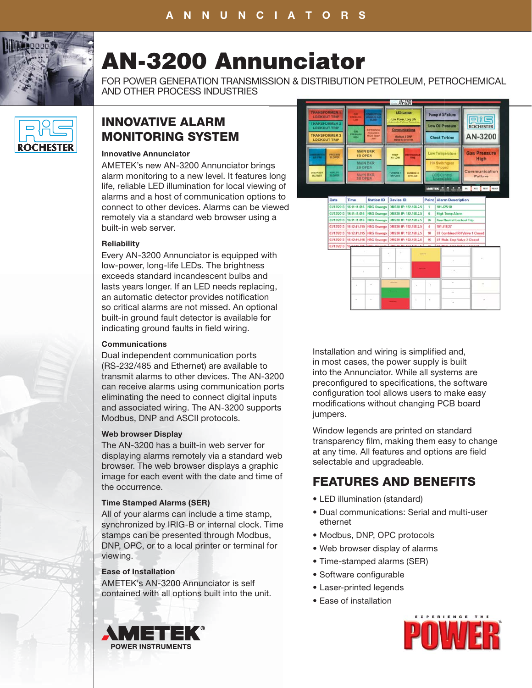

# **AN-3200 Annunciator**

FOR POWER GENERATION TRANSMISSION & DISTRIBUTION PETROLEUM, PETROCHEMICAL AND OTHER PROCESS INDUSTRIES



# **INNOVATIVE ALARM MONITORING SYSTEM**

# **Innovative Annunciator**

AMETEK's new AN-3200 Annunciator brings alarm monitoring to a new level. It features long life, reliable LED illumination for local viewing of alarms and a host of communication options to alarms and a host of communication options to<br>connect to other devices. Alarms can be viewed remotely via a standard web browser using a g built-in web server.

## **Reliability**

Every AN-3200 Annunciator is equipped with low-power, long-life LEDs. The brightness exceeds standard incandescent bulbs and lasts years longer. If an LED needs replacing, an automatic detector provides notification so critical alarms are not missed. An optional built-in ground fault detector is available for indicating ground faults in field wiring.

# **Communications**

Dual independent communication ports (RS-232/485 and Ethernet) are available to transmit alarms to other devices. The AN-3200 can receive alarms using communication ports eliminating the need to connect digital inputs and associated wiring. The AN-3200 supports Modbus, DNP and ASCII protocols.

## **Web browser Display**

The AN-3200 has a built-in web server for displaying alarms remotely via a standard web browser. The web browser displays a graphic image for each event with the date and time of the occurrence.

## **Time Stamped Alarms (SER)**

All of your alarms can include a time stamp, synchronized by IRIG-B or internal clock. Time stamps can be presented through Modbus, DNP, OPC, or to a local printer or terminal for viewing.

# **Ease of Installation**

AMETEK's AN-3200 Annunciator is self contained with all options built into the unit.



Installation and wiring is simplified and, in most cases, the power supply is built into the Annunciator. While all systems are preconfigured to specifications, the software configuration tool allows users to make easy modifications without changing PCB board jumpers.

Window legends are printed on standard transparency film, making them easy to change at any time. All features and options are field selectable and upgradeable.

# **FEATURES AND BENEFITS**

- LED illumination (standard)
- Dual communications: Serial and multi-user ethernet
- Modbus, DNP, OPC protocols
- Web browser display of alarms
- Time-stamped alarms (SER)
- Software configurable
- Laser-printed legends
- Ease of installation